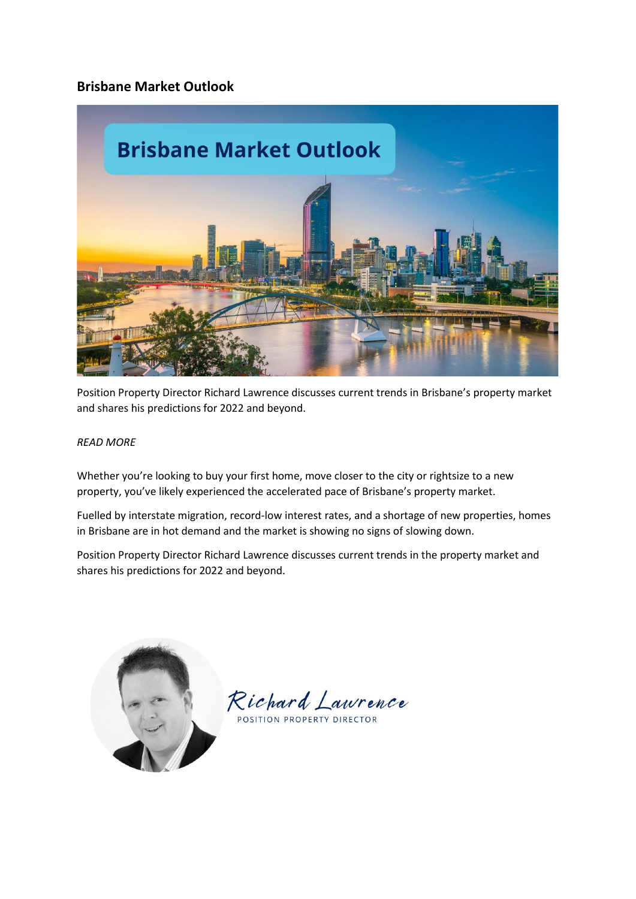# **Brisbane Market Outlook**



Position Property Director Richard Lawrence discusses current trends in Brisbane's property market and shares his predictions for 2022 and beyond.

#### *READ MORE*

Whether you're looking to buy your first home, move closer to the city or rightsize to a new property, you've likely experienced the accelerated pace of Brisbane's property market.

Fuelled by interstate migration, record-low interest rates, and a shortage of new properties, homes in Brisbane are in hot demand and the market is showing no signs of slowing down.

Position Property Director Richard Lawrence discusses current trends in the property market and shares his predictions for 2022 and beyond.



Richard Lawrence

POSITION PROPERTY DIRECTOR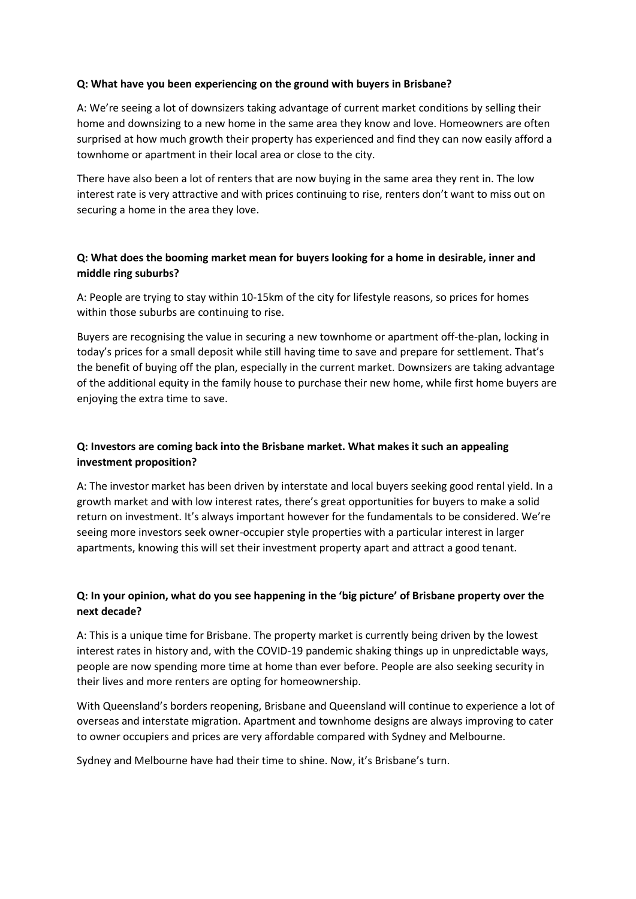### **Q: What have you been experiencing on the ground with buyers in Brisbane?**

A: We're seeing a lot of downsizers taking advantage of current market conditions by selling their home and downsizing to a new home in the same area they know and love. Homeowners are often surprised at how much growth their property has experienced and find they can now easily afford a townhome or apartment in their local area or close to the city.

There have also been a lot of renters that are now buying in the same area they rent in. The low interest rate is very attractive and with prices continuing to rise, renters don't want to miss out on securing a home in the area they love.

### **Q: What does the booming market mean for buyers looking for a home in desirable, inner and middle ring suburbs?**

A: People are trying to stay within 10-15km of the city for lifestyle reasons, so prices for homes within those suburbs are continuing to rise.

Buyers are recognising the value in securing a new townhome or apartment off-the-plan, locking in today's prices for a small deposit while still having time to save and prepare for settlement. That's the benefit of buying off the plan, especially in the current market. Downsizers are taking advantage of the additional equity in the family house to purchase their new home, while first home buyers are enjoying the extra time to save.

## **Q: Investors are coming back into the Brisbane market. What makes it such an appealing investment proposition?**

A: The investor market has been driven by interstate and local buyers seeking good rental yield. In a growth market and with low interest rates, there's great opportunities for buyers to make a solid return on investment. It's always important however for the fundamentals to be considered. We're seeing more investors seek owner-occupier style properties with a particular interest in larger apartments, knowing this will set their investment property apart and attract a good tenant.

## **Q: In your opinion, what do you see happening in the 'big picture' of Brisbane property over the next decade?**

A: This is a unique time for Brisbane. The property market is currently being driven by the lowest interest rates in history and, with the COVID-19 pandemic shaking things up in unpredictable ways, people are now spending more time at home than ever before. People are also seeking security in their lives and more renters are opting for homeownership.

With Queensland's borders reopening, Brisbane and Queensland will continue to experience a lot of overseas and interstate migration. Apartment and townhome designs are always improving to cater to owner occupiers and prices are very affordable compared with Sydney and Melbourne.

Sydney and Melbourne have had their time to shine. Now, it's Brisbane's turn.